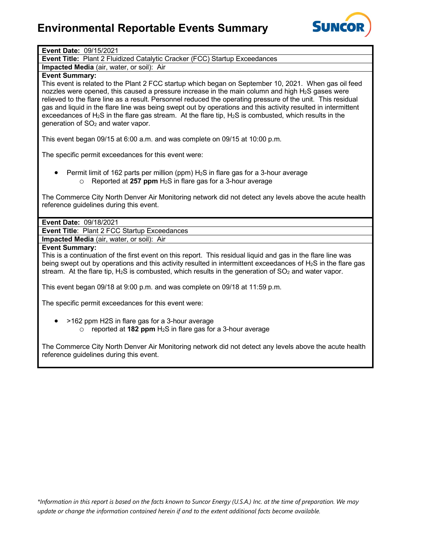# **Environmental Reportable Events Summary**



## **Event Date:** 09/15/2021

**Event Title:** Plant 2 Fluidized Catalytic Cracker (FCC) Startup Exceedances

**Impacted Media** (air, water, or soil): Air

## **Event Summary:**

This event is related to the Plant 2 FCC startup which began on September 10, 2021. When gas oil feed nozzles were opened, this caused a pressure increase in the main column and high  $H_2S$  gases were relieved to the flare line as a result. Personnel reduced the operating pressure of the unit. This residual gas and liquid in the flare line was being swept out by operations and this activity resulted in intermittent exceedances of H2S in the flare gas stream. At the flare tip, H2S is combusted, which results in the generation of  $SO<sub>2</sub>$  and water vapor.

This event began 09/15 at 6:00 a.m. and was complete on 09/15 at 10:00 p.m.

The specific permit exceedances for this event were:

Permit limit of 162 parts per million (ppm)  $H_2S$  in flare gas for a 3-hour average o Reported at **257 ppm** H2S in flare gas for a 3-hour average

The Commerce City North Denver Air Monitoring network did not detect any levels above the acute health reference guidelines during this event.

### **Event Date:** 09/18/2021

**Event Title**: Plant 2 FCC Startup Exceedances

**Impacted Media** (air, water, or soil): Air

#### **Event Summary:**

This is a continuation of the first event on this report. This residual liquid and gas in the flare line was being swept out by operations and this activity resulted in intermittent exceedances of  $H_2S$  in the flare gas stream. At the flare tip,  $H_2S$  is combusted, which results in the generation of  $SO_2$  and water vapor.

This event began 09/18 at 9:00 p.m. and was complete on 09/18 at 11:59 p.m.

The specific permit exceedances for this event were:

• >162 ppm H2S in flare gas for a 3-hour average o reported at **182 ppm** H2S in flare gas for a 3-hour average

The Commerce City North Denver Air Monitoring network did not detect any levels above the acute health reference guidelines during this event.